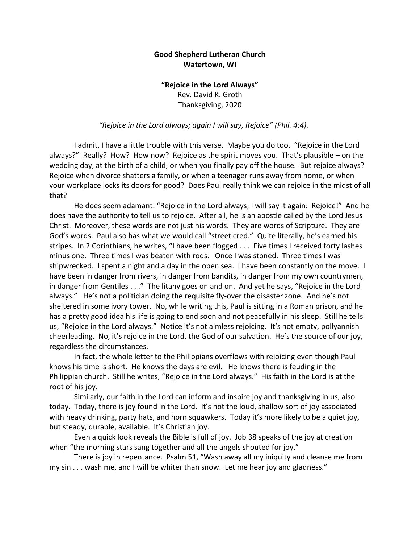## **Good Shepherd Lutheran Church Watertown, WI**

## **"Rejoice in the Lord Always"** Rev. David K. Groth Thanksgiving, 2020

## *"Rejoice in the Lord always; again I will say, Rejoice" (Phil. 4:4).*

I admit, I have a little trouble with this verse. Maybe you do too. "Rejoice in the Lord always?" Really? How? How now? Rejoice as the spirit moves you. That's plausible – on the wedding day, at the birth of a child, or when you finally pay off the house. But rejoice always? Rejoice when divorce shatters a family, or when a teenager runs away from home, or when your workplace locks its doors for good? Does Paul really think we can rejoice in the midst of all that?

He does seem adamant: "Rejoice in the Lord always; I will say it again: Rejoice!" And he does have the authority to tell us to rejoice. After all, he is an apostle called by the Lord Jesus Christ. Moreover, these words are not just his words. They are words of Scripture. They are God's words. Paul also has what we would call "street cred." Quite literally, he's earned his stripes. In 2 Corinthians, he writes, "I have been flogged . . . Five times I received forty lashes minus one. Three times I was beaten with rods. Once I was stoned. Three times I was shipwrecked. I spent a night and a day in the open sea. I have been constantly on the move. I have been in danger from rivers, in danger from bandits, in danger from my own countrymen, in danger from Gentiles . . ." The litany goes on and on. And yet he says, "Rejoice in the Lord always." He's not a politician doing the requisite fly-over the disaster zone. And he's not sheltered in some ivory tower. No, while writing this, Paul is sitting in a Roman prison, and he has a pretty good idea his life is going to end soon and not peacefully in his sleep. Still he tells us, "Rejoice in the Lord always." Notice it's not aimless rejoicing. It's not empty, pollyannish cheerleading. No, it's rejoice in the Lord, the God of our salvation. He's the source of our joy, regardless the circumstances.

In fact, the whole letter to the Philippians overflows with rejoicing even though Paul knows his time is short. He knows the days are evil. He knows there is feuding in the Philippian church. Still he writes, "Rejoice in the Lord always." His faith in the Lord is at the root of his joy.

Similarly, our faith in the Lord can inform and inspire joy and thanksgiving in us, also today. Today, there is joy found in the Lord. It's not the loud, shallow sort of joy associated with heavy drinking, party hats, and horn squawkers. Today it's more likely to be a quiet joy, but steady, durable, available. It's Christian joy.

Even a quick look reveals the Bible is full of joy. Job 38 speaks of the joy at creation when "the morning stars sang together and all the angels shouted for joy."

There is joy in repentance. Psalm 51, "Wash away all my iniquity and cleanse me from my sin . . . wash me, and I will be whiter than snow. Let me hear joy and gladness."